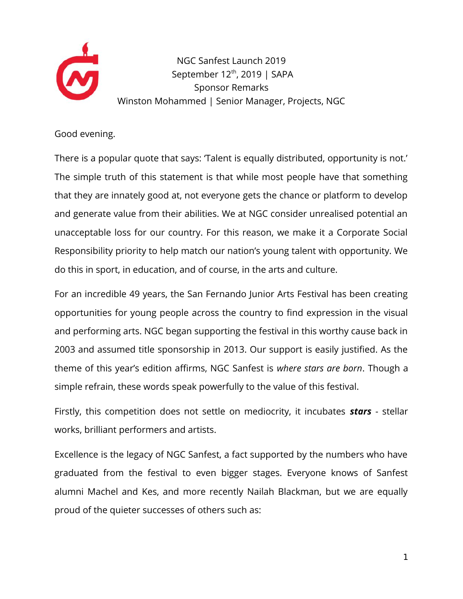

NGC Sanfest Launch 2019 September 12<sup>th</sup>, 2019 | SAPA Sponsor Remarks Winston Mohammed | Senior Manager, Projects, NGC

Good evening.

There is a popular quote that says: 'Talent is equally distributed, opportunity is not.' The simple truth of this statement is that while most people have that something that they are innately good at, not everyone gets the chance or platform to develop and generate value from their abilities. We at NGC consider unrealised potential an unacceptable loss for our country. For this reason, we make it a Corporate Social Responsibility priority to help match our nation's young talent with opportunity. We do this in sport, in education, and of course, in the arts and culture.

For an incredible 49 years, the San Fernando Junior Arts Festival has been creating opportunities for young people across the country to find expression in the visual and performing arts. NGC began supporting the festival in this worthy cause back in 2003 and assumed title sponsorship in 2013. Our support is easily justified. As the theme of this year's edition affirms, NGC Sanfest is *where stars are born*. Though a simple refrain, these words speak powerfully to the value of this festival.

Firstly, this competition does not settle on mediocrity, it incubates *stars* - stellar works, brilliant performers and artists.

Excellence is the legacy of NGC Sanfest, a fact supported by the numbers who have graduated from the festival to even bigger stages. Everyone knows of Sanfest alumni Machel and Kes, and more recently Nailah Blackman, but we are equally proud of the quieter successes of others such as: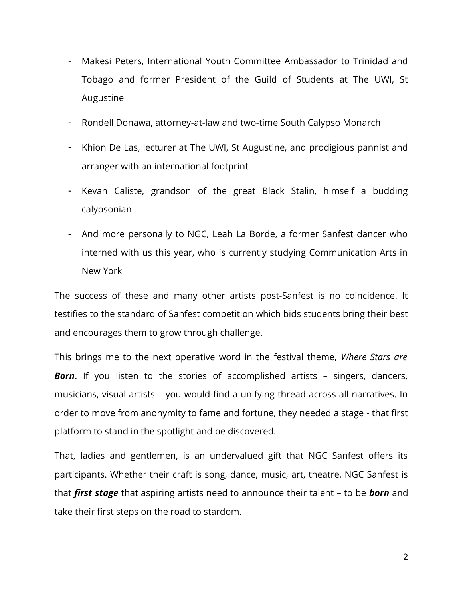- Makesi Peters, International Youth Committee Ambassador to Trinidad and Tobago and former President of the Guild of Students at The UWI, St Augustine
- Rondell Donawa, attorney-at-law and two-time South Calypso Monarch
- Khion De Las, lecturer at The UWI, St Augustine, and prodigious pannist and arranger with an international footprint
- Kevan Caliste, grandson of the great Black Stalin, himself a budding calypsonian
- And more personally to NGC, Leah La Borde, a former Sanfest dancer who interned with us this year, who is currently studying Communication Arts in New York

The success of these and many other artists post-Sanfest is no coincidence. It testifies to the standard of Sanfest competition which bids students bring their best and encourages them to grow through challenge.

This brings me to the next operative word in the festival theme, *Where Stars are* **Born**. If you listen to the stories of accomplished artists – singers, dancers, musicians, visual artists – you would find a unifying thread across all narratives. In order to move from anonymity to fame and fortune, they needed a stage - that first platform to stand in the spotlight and be discovered.

That, ladies and gentlemen, is an undervalued gift that NGC Sanfest offers its participants. Whether their craft is song, dance, music, art, theatre, NGC Sanfest is that *first stage* that aspiring artists need to announce their talent – to be *born* and take their first steps on the road to stardom.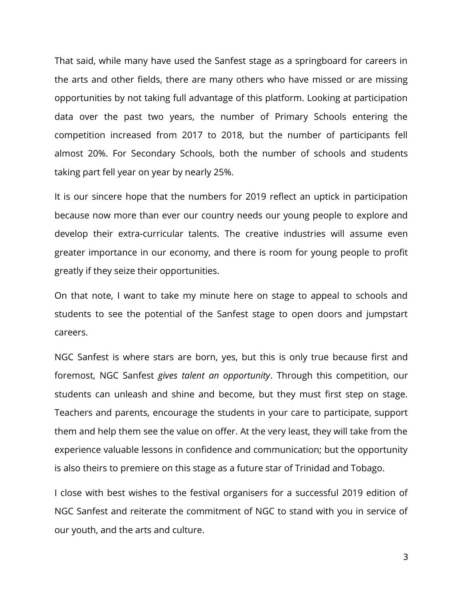That said, while many have used the Sanfest stage as a springboard for careers in the arts and other fields, there are many others who have missed or are missing opportunities by not taking full advantage of this platform. Looking at participation data over the past two years, the number of Primary Schools entering the competition increased from 2017 to 2018, but the number of participants fell almost 20%. For Secondary Schools, both the number of schools and students taking part fell year on year by nearly 25%.

It is our sincere hope that the numbers for 2019 reflect an uptick in participation because now more than ever our country needs our young people to explore and develop their extra-curricular talents. The creative industries will assume even greater importance in our economy, and there is room for young people to profit greatly if they seize their opportunities.

On that note, I want to take my minute here on stage to appeal to schools and students to see the potential of the Sanfest stage to open doors and jumpstart careers.

NGC Sanfest is where stars are born, yes, but this is only true because first and foremost, NGC Sanfest *gives talent an opportunity*. Through this competition, our students can unleash and shine and become, but they must first step on stage. Teachers and parents, encourage the students in your care to participate, support them and help them see the value on offer. At the very least, they will take from the experience valuable lessons in confidence and communication; but the opportunity is also theirs to premiere on this stage as a future star of Trinidad and Tobago.

I close with best wishes to the festival organisers for a successful 2019 edition of NGC Sanfest and reiterate the commitment of NGC to stand with you in service of our youth, and the arts and culture.

3